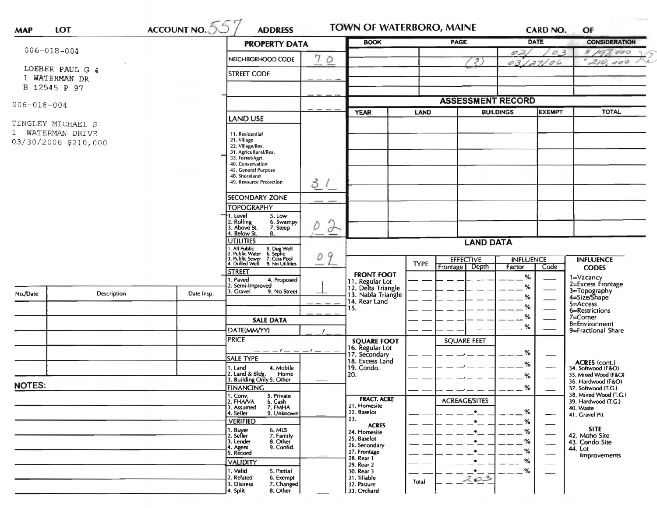| <b>MAP</b>                       | LOT                  | $\frac{\text{ACCOUNT NO.}}{557}$                                               | <b>ADDRESS</b>                                           |                    | <b>TOWN OF WATERBORO, MAINE</b>          |             |                            |                                   | <b>CARD NO.</b>                | OF                                           |
|----------------------------------|----------------------|--------------------------------------------------------------------------------|----------------------------------------------------------|--------------------|------------------------------------------|-------------|----------------------------|-----------------------------------|--------------------------------|----------------------------------------------|
|                                  |                      |                                                                                | <b>PROPERTY DATA</b>                                     |                    | <b>BOOK</b>                              | <b>PAGE</b> |                            |                                   | DATE                           | <b>CONSIDERATION</b>                         |
| $006 - 018 - 004$                |                      |                                                                                | NEIGHBORHOOD CODE                                        | 7<br>$\circ$       |                                          |             |                            | 02                                | $\mathcal{O}$                  | 8/9<br>000                                   |
| LOEBER PAUL G &<br>1 WATERMAN DR |                      |                                                                                | <b>STREET CODE</b>                                       |                    |                                          |             | $\overline{\mathcal{L}}$   |                                   | 03/27/06                       | 210,000                                      |
|                                  | B 12545 P 97         |                                                                                |                                                          |                    |                                          |             |                            |                                   |                                |                                              |
| $006 - 018 - 004$                |                      |                                                                                |                                                          |                    |                                          |             | <b>ASSESSMENT RECORD</b>   |                                   |                                |                                              |
|                                  |                      |                                                                                | <b>LAND USE</b>                                          |                    | <b>YEAR</b>                              | LAND        |                            | <b>BUILDINGS</b><br><b>EXEMPT</b> |                                | <b>TOTAL</b>                                 |
|                                  | TINGLEY MICHAEL S    |                                                                                |                                                          |                    |                                          |             |                            |                                   |                                |                                              |
|                                  | 1 WATERMAN DRIVE     |                                                                                | 11. Residential<br>21. Village                           |                    |                                          |             |                            |                                   |                                |                                              |
|                                  | 03/30/2006 \$210,000 |                                                                                | 22. Village/Res.                                         |                    |                                          |             |                            |                                   |                                |                                              |
|                                  |                      |                                                                                | 31. Agricultural/Res.<br>33. Forest/Agri.                |                    |                                          |             |                            |                                   |                                |                                              |
|                                  |                      |                                                                                | 40. Conservation<br>45. General Purpose                  |                    |                                          |             |                            |                                   |                                |                                              |
|                                  |                      |                                                                                | 48. Shoreland<br>49. Resource Protection                 |                    |                                          |             |                            |                                   |                                |                                              |
|                                  |                      |                                                                                |                                                          | 3/                 |                                          |             |                            |                                   |                                |                                              |
|                                  |                      |                                                                                | SECONDARY ZONE                                           |                    |                                          |             |                            |                                   |                                |                                              |
|                                  |                      |                                                                                | <b>TOPOGRAPHY</b><br>1. Level<br>5. Low                  |                    |                                          |             |                            |                                   |                                |                                              |
|                                  |                      |                                                                                | 2. Rolling<br>6. Swampy<br>3. Above St.<br>7. Steep      | $\rightarrow$<br>D |                                          |             |                            |                                   |                                |                                              |
|                                  |                      | 4. Below St.<br>8.                                                             |                                                          |                    |                                          |             |                            |                                   |                                |                                              |
|                                  |                      |                                                                                | <b>UTILITIES</b><br><b>LAND DATA</b><br>1. All Public    |                    |                                          |             |                            |                                   |                                |                                              |
|                                  |                      | 5. Dug Well<br>6. Septic<br>7. Cess Pool<br>2. Public Water<br>3. Public Sewer | 9<br>О                                                   |                    | <b>EFFECTIVE</b>                         |             | <b>INFLUENCE</b>           |                                   | <b>INFLUENCE</b>               |                                              |
|                                  |                      |                                                                                | 9. No Utilities<br>4. Drilled Well<br><b>STREET</b>      |                    |                                          | <b>TYPE</b> | Frontage   Depth           | Factor                            | Code                           | <b>CODES</b>                                 |
|                                  |                      |                                                                                | 1. Paved<br>4. Proposed                                  |                    | <b>FRONT FOOT</b><br>11. Regular Lot     |             |                            | $\%$                              |                                | 1=Vacancy<br>2=Excess Frontage               |
| No./Date                         | Description          | Date Insp.                                                                     | 2. Semi-Improved<br>3. Gravel<br>9. No Street            |                    | 12. Delta Triangle<br>13. Nabla Triangle |             |                            | %                                 |                                | 3=Topography<br>4=Size/Shape                 |
|                                  |                      |                                                                                |                                                          |                    | 14. Rear Land                            |             |                            | %<br>$\%$                         |                                | $5 = Access$                                 |
|                                  |                      |                                                                                |                                                          |                    | 15.                                      |             |                            | $\%$                              |                                | 6=Restrictions<br>$7 =$ Corner               |
|                                  |                      |                                                                                | <b>SALE DATA</b>                                         |                    |                                          |             |                            | %                                 |                                | 8=Environment                                |
|                                  |                      |                                                                                | DATE(MM/YY)<br><b>PRICE</b>                              |                    |                                          |             |                            |                                   |                                | 9=Fractional Share                           |
|                                  |                      |                                                                                |                                                          |                    | <b>SQUARE FOOT</b><br>16. Regular Lot    |             | <b>SQUARE FEET</b>         |                                   |                                |                                              |
|                                  |                      |                                                                                | <b>SALE TYPE</b>                                         | $-1-$              | 17. Secondary<br>18. Excess Land         |             |                            | %                                 | $\overbrace{\hspace{27mm}}^{}$ |                                              |
|                                  |                      |                                                                                | 4. Mobile<br>1. Land                                     |                    | 19. Condo.                               |             |                            | %                                 | —                              | ACRES (cont.)<br>34. Softwood (F&O)          |
|                                  |                      |                                                                                | 2. Land & Bldg.<br>Home<br>3. Building Only 5. Other     |                    | 20.                                      |             |                            | %                                 |                                | 35. Mixed Wood (F&O)<br>36. Hardwood (F&O)   |
| <b>NOTES:</b>                    |                      | <b>FINANCING</b>                                                               |                                                          |                    |                                          |             | O/L<br>70<br>$\frac{1}{2}$ |                                   | 37. Softwood (T.G.)            |                                              |
|                                  |                      |                                                                                | 1. Conv.<br>5. Private<br>2. FHAVA<br>6. Cash<br>7. FMHA |                    | <b>FRACT. ACRE</b>                       |             | <b>ACREAGE/SITES</b>       |                                   |                                | 38. Mixed Wood (T.G.)<br>39. Hardwood (T.G.) |
|                                  |                      |                                                                                | 3. Assumed<br>4. Seller<br>9. Unknown                    |                    | 21. Homesite<br>22. Baselot              |             | $\bullet$                  | %                                 | --                             | 40. Waste<br>41. Gravel Pit                  |
|                                  |                      |                                                                                | <b>VERIFIED</b>                                          |                    | 23.<br><b>ACRES</b>                      |             |                            | %                                 |                                |                                              |
|                                  |                      |                                                                                | 1. Buyer<br>6. MLS<br>2. Seller<br>7. Family             |                    | 24. Homesite                             |             |                            | %                                 |                                | <b>SITE</b><br>42. Moho Site                 |
|                                  |                      |                                                                                | 8. Other<br>3. Lender<br>9. Confid.<br>4. Agent          |                    | 25. Baselot<br>26. Secondary             |             |                            | %                                 |                                | 43. Condo Site                               |
|                                  |                      |                                                                                | 5. Record                                                |                    | 27. Frontage<br>28. Rear 1               |             | $\bullet$                  | %                                 | $\overline{\phantom{0}}$       | 44. Lot<br>Improvements                      |
|                                  |                      |                                                                                | <b>VALIDITY</b>                                          |                    | 29. Rear 2                               |             | $\bullet$                  | %                                 |                                |                                              |
|                                  |                      |                                                                                | 1. Valid<br>5. Partial<br>2. Related<br>6. Exempt        |                    | 30. Rear 3<br>31. Tillable               | Total       | $\cdot$ .<br>203           | %                                 |                                |                                              |
|                                  |                      |                                                                                | 7. Changed<br>3. Distress                                |                    | 32. Pasture                              |             |                            |                                   |                                |                                              |